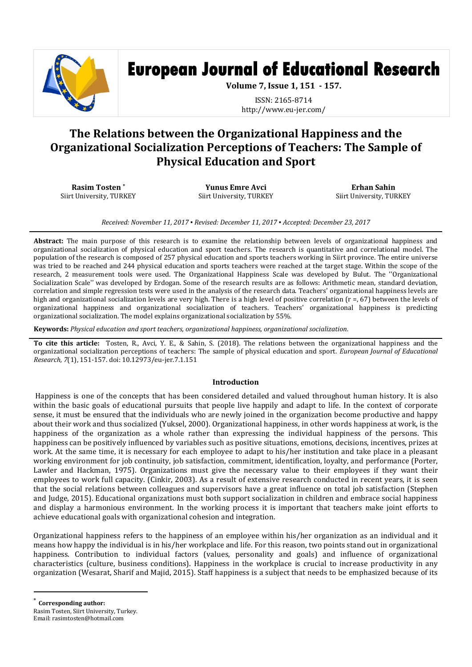

# **European Journal of Educational Research**

**Volume 7, Issue 1, 151 - 157.**

ISSN: 2165-8714 http://www.eu-jer.com/

# **The Relations between the Organizational Happiness and the Organizational Socialization Perceptions of Teachers: The Sample of Physical Education and Sport**

**Rasim Tosten \*** Siirt University, TURKEY

**Yunus Emre Avci** Siirt University, TURKEY

**Erhan Sahin** Siirt University, TURKEY

*Received: November 11, 2017 ▪ Revised: December 11, 2017 ▪ Accepted: December 23, 2017*

**Abstract:** The main purpose of this research is to examine the relationship between levels of organizational happiness and organizational socialization of physical education and sport teachers. The research is quantitative and correlational model. The population of the research is composed of 257 physical education and sports teachers working in Siirt province. The entire universe was tried to be reached and 244 physical education and sports teachers were reached at the target stage. Within the scope of the research, 2 measurement tools were used. The Organizational Happiness Scale was developed by Bulut. The ''Organizational Socialization Scale'' was developed by Erdogan. Some of the research results are as follows: Arithmetic mean, standard deviation, correlation and simple regression tests were used in the analysis of the research data. Teachers' organizational happiness levels are high and organizational socialization levels are very high. There is a high level of positive correlation (r =, 67) between the levels of organizational happiness and organizational socialization of teachers. Teachers' organizational happiness is predicting organizational socialization. The model explains organizational socialization by 55%.

**Keywords:** *Physical education and sport teachers, organizational happiness, organizational socialization.*

**To cite this article:** Tosten, R., Avci, Y. E., & Sahin, S. (2018). The relations between the organizational happiness and the organizational socialization perceptions of teachers: The sample of physical education and sport. *European Journal of Educational Research, 7*(1), 151-157. doi: 10.12973/eu-jer.7.1.151

### **Introduction**

Happiness is one of the concepts that has been considered detailed and valued throughout human history. It is also within the basic goals of educational pursuits that people live happily and adapt to life. In the context of corporate sense, it must be ensured that the individuals who are newly joined in the organization become productive and happy about their work and thus socialized (Yuksel, 2000). Organizational happiness, in other words happiness at work, is the happiness of the organization as a whole rather than expressing the individual happiness of the persons. This happiness can be positively influenced by variables such as positive situations, emotions, decisions, incentives, prizes at work. At the same time, it is necessary for each employee to adapt to his/her institution and take place in a pleasant working environment for job continuity, job satisfaction, commitment, identification, loyalty, and performance (Porter, Lawler and Hackman, 1975). Organizations must give the necessary value to their employees if they want their employees to work full capacity. (Cinkir, 2003). As a result of extensive research conducted in recent years, it is seen that the social relations between colleagues and supervisors have a great influence on total job satisfaction (Stephen and Judge, 2015). Educational organizations must both support socialization in children and embrace social happiness and display a harmonious environment. In the working process it is important that teachers make joint efforts to achieve educational goals with organizational cohesion and integration.

Organizational happiness refers to the happiness of an employee within his/her organization as an individual and it means how happy the individual is in his/her workplace and life. For this reason, two points stand out in organizational happiness. Contribution to individual factors (values, personality and goals) and influence of organizational characteristics (culture, business conditions). Happiness in the workplace is crucial to increase productivity in any organization (Wesarat, Sharif and Majid, 2015). Staff happiness is a subject that needs to be emphasized because of its

Corresponding author:

 $\overline{a}$ 

Rasim Tosten, Siirt University, Turkey. Email: rasimtosten@hotmail.com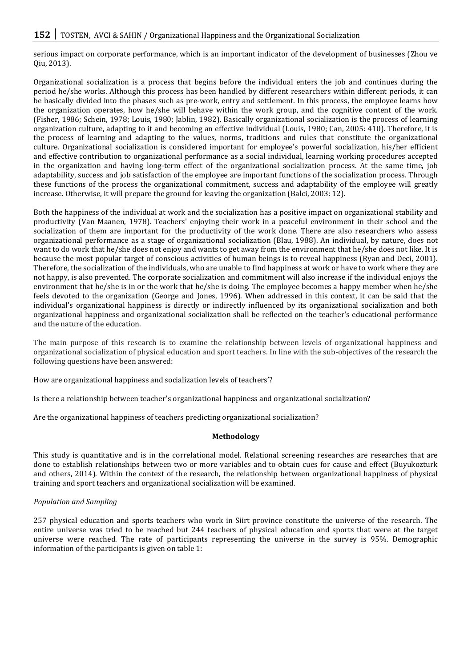serious impact on corporate performance, which is an important indicator of the development of businesses (Zhou ve Qiu, 2013).

Organizational socialization is a process that begins before the individual enters the job and continues during the period he/she works. Although this process has been handled by different researchers within different periods, it can be basically divided into the phases such as pre-work, entry and settlement. In this process, the employee learns how the organization operates, how he/she will behave within the work group, and the cognitive content of the work. (Fisher, 1986; Schein, 1978; Louis, 1980; Jablin, 1982). Basically organizational socialization is the process of learning organization culture, adapting to it and becoming an effective individual (Louis, 1980; Can, 2005: 410). Therefore, it is the process of learning and adapting to the values, norms, traditions and rules that constitute the organizational culture. Organizational socialization is considered important for employee's powerful socialization, his/her efficient and effective contribution to organizational performance as a social individual, learning working procedures accepted in the organization and having long-term effect of the organizational socialization process. At the same time, job adaptability, success and job satisfaction of the employee are important functions of the socialization process. Through these functions of the process the organizational commitment, success and adaptability of the employee will greatly increase. Otherwise, it will prepare the ground for leaving the organization (Balci, 2003: 12).

Both the happiness of the individual at work and the socialization has a positive impact on organizational stability and productivity (Van Maanen, 1978). Teachers' enjoying their work in a peaceful environment in their school and the socialization of them are important for the productivity of the work done. There are also researchers who assess organizational performance as a stage of organizational socialization (Blau, 1988). An individual, by nature, does not want to do work that he/she does not enjoy and wants to get away from the environment that he/she does not like. It is because the most popular target of conscious activities of human beings is to reveal happiness (Ryan and Deci, 2001). Therefore, the socialization of the individuals, who are unable to find happiness at work or have to work where they are not happy, is also prevented. The corporate socialization and commitment will also increase if the individual enjoys the environment that he/she is in or the work that he/she is doing. The employee becomes a happy member when he/she feels devoted to the organization (George and Jones, 1996). When addressed in this context, it can be said that the individual's organizational happiness is directly or indirectly influenced by its organizational socialization and both organizational happiness and organizational socialization shall be reflected on the teacher's educational performance and the nature of the education.

The main purpose of this research is to examine the relationship between levels of organizational happiness and organizational socialization of physical education and sport teachers. In line with the sub-objectives of the research the following questions have been answered:

How are organizational happiness and socialization levels of teachers'?

Is there a relationship between teacher's organizational happiness and organizational socialization?

Are the organizational happiness of teachers predicting organizational socialization?

# **Methodology**

This study is quantitative and is in the correlational model. Relational screening researches are researches that are done to establish relationships between two or more variables and to obtain cues for cause and effect (Buyukozturk and others, 2014). Within the context of the research, the relationship between organizational happiness of physical training and sport teachers and organizational socialization will be examined.

# *Population and Sampling*

257 physical education and sports teachers who work in Siirt province constitute the universe of the research. The entire universe was tried to be reached but 244 teachers of physical education and sports that were at the target universe were reached. The rate of participants representing the universe in the survey is 95%. Demographic information of the participants is given on table 1: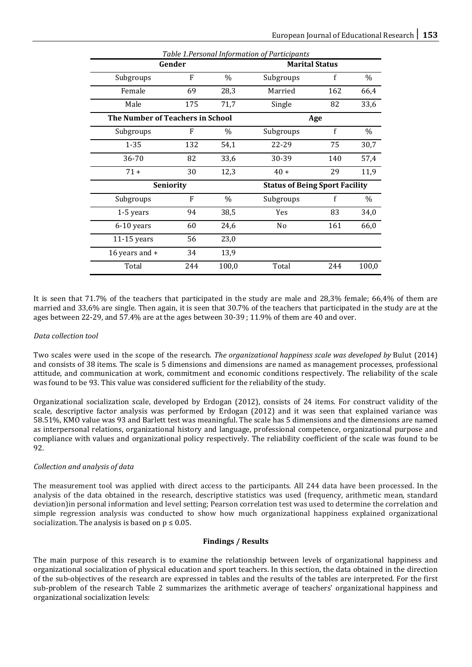|                                  |        |                                       | Table 1. Personal Information of Participants |              |       |  |
|----------------------------------|--------|---------------------------------------|-----------------------------------------------|--------------|-------|--|
|                                  | Gender | <b>Marital Status</b>                 |                                               |              |       |  |
| Subgroups                        | F      | $\%$                                  | Subgroups                                     | f            | $\%$  |  |
| Female                           | 69     | 28,3                                  | Married                                       | 162          | 66,4  |  |
| Male                             | 175    | 71,7                                  | Single                                        | 82           | 33,6  |  |
| The Number of Teachers in School | Age    |                                       |                                               |              |       |  |
| Subgroups                        | F      | $\%$                                  | Subgroups                                     | $\mathbf{f}$ | $\%$  |  |
| $1 - 35$                         | 132    | 54,1                                  | 22-29                                         | 75           | 30,7  |  |
| 36-70                            | 82     | 33,6                                  | 30-39                                         | 140          | 57,4  |  |
| $71 +$                           | 30     | 12,3                                  | $40 +$                                        | 29           | 11,9  |  |
| <b>Seniority</b>                 |        | <b>Status of Being Sport Facility</b> |                                               |              |       |  |
| Subgroups                        | F      | $\%$                                  | Subgroups                                     | f            | %     |  |
| 1-5 years                        | 94     | 38,5                                  | Yes                                           | 83           | 34,0  |  |
| 6-10 years                       | 60     | 24,6                                  | N <sub>o</sub>                                | 161          | 66,0  |  |
| $11-15$ years                    | 56     | 23,0                                  |                                               |              |       |  |
| 16 years and +                   | 34     | 13,9                                  |                                               |              |       |  |
| Total                            | 244    | 100,0                                 | Total                                         | 244          | 100,0 |  |

It is seen that 71.7% of the teachers that participated in the study are male and 28,3% female; 66,4% of them are married and 33,6% are single. Then again, it is seen that 30.7% of the teachers that participated in the study are at the ages between 22-29, and 57.4% are at the ages between 30-39 ; 11.9% of them are 40 and over.

# *Data collection tool*

Two scales were used in the scope of the research. *The organizational happiness scale was developed by* Bulut (2014) and consists of 38 items. The scale is 5 dimensions and dimensions are named as management processes, professional attitude, and communication at work, commitment and economic conditions respectively. The reliability of the scale was found to be 93. This value was considered sufficient for the reliability of the study.

Organizational socialization scale, developed by Erdogan (2012), consists of 24 items. For construct validity of the scale, descriptive factor analysis was performed by Erdogan (2012) and it was seen that explained variance was 58.51%, KMO value was 93 and Barlett test was meaningful. The scale has 5 dimensions and the dimensions are named as interpersonal relations, organizational history and language, professional competence, organizational purpose and compliance with values and organizational policy respectively. The reliability coefficient of the scale was found to be 92.

### *Collection and analysis of data*

The measurement tool was applied with direct access to the participants. All 244 data have been processed. In the analysis of the data obtained in the research, descriptive statistics was used (frequency, arithmetic mean, standard deviation)in personal information and level setting; Pearson correlation test was used to determine the correlation and simple regression analysis was conducted to show how much organizational happiness explained organizational socialization. The analysis is based on  $p \leq 0.05$ .

## **Findings / Results**

The main purpose of this research is to examine the relationship between levels of organizational happiness and organizational socialization of physical education and sport teachers. In this section, the data obtained in the direction of the sub-objectives of the research are expressed in tables and the results of the tables are interpreted. For the first sub-problem of the research Table 2 summarizes the arithmetic average of teachers' organizational happiness and organizational socialization levels: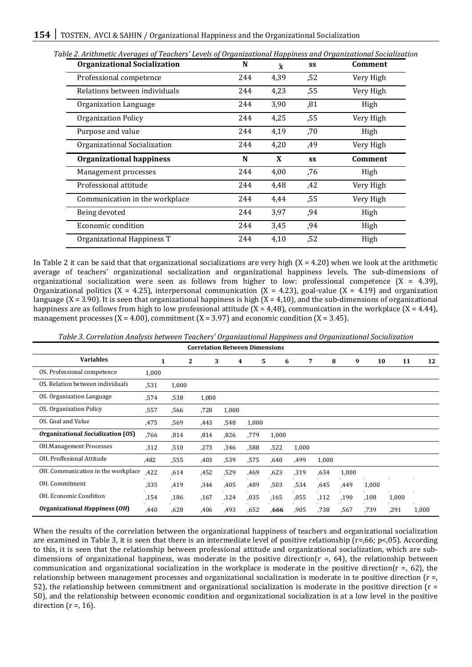| <b>Organizational Socialization</b> | N   | $\bar{\mathbf{x}}$ | SS  | Comment        |
|-------------------------------------|-----|--------------------|-----|----------------|
| Professional competence             | 244 | 4,39               | ,52 | Very High      |
| Relations between individuals       | 244 | 4,23               | ,55 | Very High      |
| Organization Language               | 244 | 3,90               | ,81 | High           |
| <b>Organization Policy</b>          | 244 | 4,25               | ,55 | Very High      |
| Purpose and value                   | 244 | 4,19               | ,70 | High           |
| Organizational Socialization        | 244 | 4,20               | ,49 | Very High      |
| <b>Organizational happiness</b>     | N   | X                  | SS  | <b>Comment</b> |
| Management processes                | 244 | 4,00               | .76 | High           |
| Professional attitude               | 244 | 4,48               | ,42 | Very High      |
| Communication in the workplace      | 244 | 4,44               | ,55 | Very High      |
|                                     |     | 3,97               | ,94 | High           |
|                                     | 244 |                    |     |                |
| Being devoted<br>Economic condition | 244 | 3,45               | ,94 | High           |

*Table 2. Arithmetic Averages of Teachers' Levels of Organizational Happiness and Organizational Socialization*

In Table 2 it can be said that that organizational socializations are very high  $(X = 4.20)$  when we look at the arithmetic average of teachers' organizational socialization and organizational happiness levels. The sub-dimensions of organizational socialization were seen as follows from higher to low: professional competence  $(X = 4.39)$ , Organizational politics (X = 4.25), interpersonal communication (X = 4.23), goal-value (X = 4.19) and organization language (X = 3.90). It is seen that organizational happiness is high (X = 4,10), and the sub-dimensions of organizational happiness are as follows from high to low professional attitude  $(X = 4.48)$ , communication in the workplace  $(X = 4.44)$ , management processes  $(X = 4.00)$ , commitment  $(X = 3.97)$  and economic condition  $(X = 3.45)$ .

| <b>Correlation Between Dimensions</b> |       |              |       |       |       |       |       |       |       |       |       |       |
|---------------------------------------|-------|--------------|-------|-------|-------|-------|-------|-------|-------|-------|-------|-------|
| <b>Variables</b>                      | 1     | $\mathbf{2}$ | 3     | 4     | 5     | 6     | 7     | 8     | 9     | 10    | 11    | 12    |
| OS. Professional competence           | 1,000 |              |       |       |       |       |       |       |       |       |       |       |
| OS. Relation between individuals      | .531  | 1,000        |       |       |       |       |       |       |       |       |       |       |
| OS. Organization Language             | .574  | ,538         | 1,000 |       |       |       |       |       |       |       |       |       |
| <b>OS.</b> Organization Policy        | ,557  | ,566         | ,728  | 1,000 |       |       |       |       |       |       |       |       |
| OS. Goal and Value                    | ,475  | ,569         | ,443  | .548  | 1,000 |       |       |       |       |       |       |       |
| Organizational Socialization (OS)     | .766  | ,814         | ,814  | ,826  | ,779  | 1,000 |       |       |       |       |       |       |
| <b>OH.Management Processes</b>        | ,312  | ,510         | ,273  | ,346  | .588  | .522  | 1,000 |       |       |       |       |       |
| OH. Proffesional Attitude             | ,482  | ,555         | ,403  | ,539  | ,575  | ,640  | ,499  | 1,000 |       |       |       |       |
| OH. Communication in the workplace    | ,422  | .614         | ,452  | .529  | ,469  | .623  | ,319  | .634  | 1,000 |       |       |       |
| OH. Commitment                        | ,335  | ,419         | .344  | ,405  | ,489  | ,503  | .534  | .645  | ,449  | 1,000 |       |       |
| OH. Economic Condition                | ,154  | ,186         | ,167  | ,124  | ,035  | ,165  | ,055  | ,112  | ,190  | ,108  | 1,000 |       |
| Organizational Happiness (OH)         | .440  | .628         | ,406  | ,493  | .652  | .666  | ,905  | .738  | .567  | ,739  | ,291  | 1,000 |

*Table 3. Correlation Analysis between Teachers' Organizational Happiness and Organizational Socialization*

When the results of the correlation between the organizational happiness of teachers and organizational socialization are examined in Table 3, it is seen that there is an intermediate level of positive relationship (r=,66; p<,05). According to this, it is seen that the relationship between professional attitude and organizational socialization, which are subdimensions of organizational happiness, was moderate in the positive direction( $r = 64$ ), the relationship between communication and organizational socialization in the workplace is moderate in the positive direction( $r =$ , 62), the relationship between management processes and organizational socialization is moderate in te positive direction (r =, 52), the relationship between commitment and organizational socialization is moderate in the positive direction ( $r =$ 50), and the relationship between economic condition and organizational socialization is at a low level in the positive direction  $(r = 16)$ .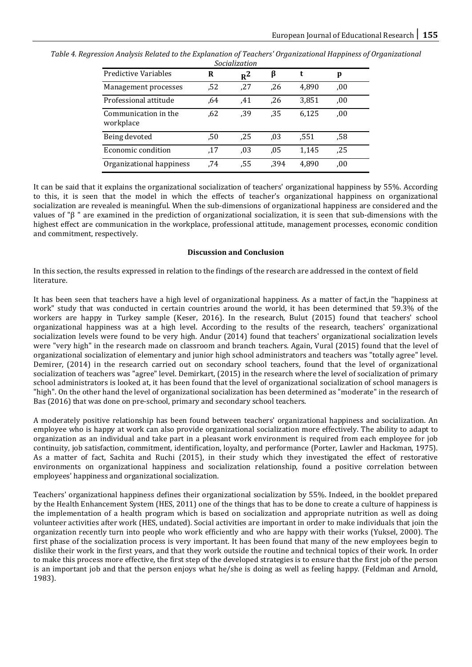| <b>Predictive Variables</b>       | R   | $R^2$ | β    |       | p   |  |  |  |  |
|-----------------------------------|-----|-------|------|-------|-----|--|--|--|--|
| Management processes              | .52 | ,27   | ,26  | 4,890 | 00. |  |  |  |  |
| Professional attitude             | .64 | .41   | .26  | 3,851 | .00 |  |  |  |  |
| Communication in the<br>workplace | .62 | .39   | .35  | 6,125 | .00 |  |  |  |  |
| Being devoted                     | .50 | .25   | .03  | .551  | .58 |  |  |  |  |
| Economic condition                | .17 | .03   | .05  | 1,145 | ,25 |  |  |  |  |
| Organizational happiness          | .74 | ,55   | .394 | 4,890 | .00 |  |  |  |  |

*Table 4. Regression Analysis Related to the Explanation of Teachers' Organizational Happiness of Organizational Socialization*

It can be said that it explains the organizational socialization of teachers' organizational happiness by 55%. According to this, it is seen that the model in which the effects of teacher's organizational happiness on organizational socialization are revealed is meaningful. When the sub-dimensions of organizational happiness are considered and the values of "β " are examined in the prediction of organizational socialization, it is seen that sub-dimensions with the highest effect are communication in the workplace, professional attitude, management processes, economic condition and commitment, respectively.

#### **Discussion and Conclusion**

In this section, the results expressed in relation to the findings of the research are addressed in the context of field literature.

It has been seen that teachers have a high level of organizational happiness. As a matter of fact,in the "happiness at work" study that was conducted in certain countries around the world, it has been determined that 59.3% of the workers are happy in Turkey sample (Keser, 2016). In the research, Bulut (2015) found that teachers' school organizational happiness was at a high level. According to the results of the research, teachers' organizational socialization levels were found to be very high. Andur (2014) found that teachers' organizational socialization levels were "very high" in the research made on classroom and branch teachers. Again, Vural (2015) found that the level of organizational socialization of elementary and junior high school administrators and teachers was "totally agree" level. Demirer, (2014) in the research carried out on secondary school teachers, found that the level of organizational socialization of teachers was "agree" level. Demirkart, (2015) in the research where the level of socialization of primary school administrators is looked at, it has been found that the level of organizational socialization of school managers is "high". On the other hand the level of organizational socialization has been determined as "moderate" in the research of Bas (2016) that was done on pre-school, primary and secondary school teachers.

A moderately positive relationship has been found between teachers' organizational happiness and socialization. An employee who is happy at work can also provide organizational socialization more effectively. The ability to adapt to organization as an individual and take part in a pleasant work environment is required from each employee for job continuity, job satisfaction, commitment, identification, loyalty, and performance (Porter, Lawler and Hackman, 1975). As a matter of fact, Sachita and Ruchi (2015), in their study which they investigated the effect of restorative environments on organizational happiness and socialization relationship, found a positive correlation between employees' happiness and organizational socialization.

Teachers' organizational happiness defines their organizational socialization by 55%. Indeed, in the booklet prepared by the Health Enhancement System (HES, 2011) one of the things that has to be done to create a culture of happiness is the implementation of a health program which is based on socialization and appropriate nutrition as well as doing volunteer activities after work (HES, undated). Social activities are important in order to make individuals that join the organization recently turn into people who work efficiently and who are happy with their works (Yuksel, 2000). The first phase of the socialization process is very important. It has been found that many of the new employees begin to dislike their work in the first years, and that they work outside the routine and technical topics of their work. In order to make this process more effective, the first step of the developed strategies is to ensure that the first job of the person is an important job and that the person enjoys what he/she is doing as well as feeling happy. (Feldman and Arnold, 1983).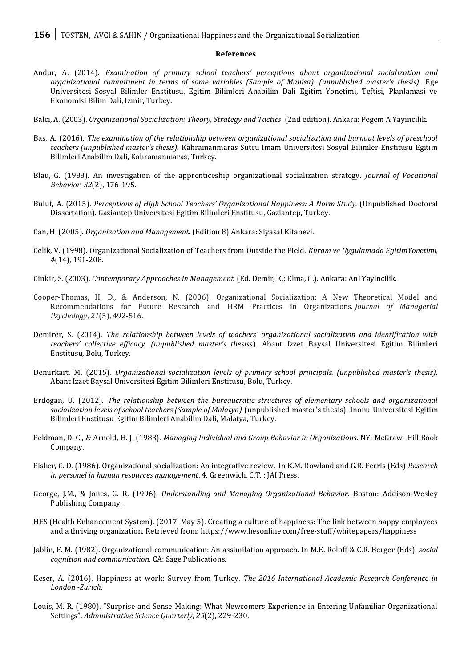#### **References**

- Andur, A. (2014). *Examination of primary school teachers' perceptions about organizational socialization and organizational commitment in terms of some variables (Sample of Manisa). (unpublished master's thesis).* Ege Universitesi Sosyal Bilimler Enstitusu. Egitim Bilimleri Anabilim Dali Egitim Yonetimi, Teftisi, Planlamasi ve Ekonomisi Bilim Dali, Izmir, Turkey.
- Balci, A. (2003). *Organizational Socialization: Theory, Strategy and Tactics*. (2nd edition). Ankara: Pegem A Yayincilik.
- Bas, A. (2016). *The examination of the relationship between organizational socialization and burnout levels of preschool teachers (unpublished master's thesis).* Kahramanmaras Sutcu Imam Universitesi Sosyal Bilimler Enstitusu Egitim Bilimleri Anabilim Dali, Kahramanmaras, Turkey.
- Blau, G. (1988). An investigation of the apprenticeship organizational socialization strategy. *Journal of Vocational Behavior*, *32*(2), 176-195.
- Bulut, A. (2015). *Perceptions of High School Teachers' Organizational Happiness: A Norm Study.* (Unpublished Doctoral Dissertation). Gaziantep Universitesi Egitim Bilimleri Enstitusu, Gaziantep, Turkey.
- Can, H. (2005). *Organization and Management*. (Edition 8) Ankara: Siyasal Kitabevi.
- Celik, V. (1998). Organizational Socialization of Teachers from Outside the Field. *Kuram ve Uygulamada EgitimYonetimi, 4*(14), 191-208.
- Cinkir, S. (2003). *Contemporary Approaches in Management.* (Ed. Demir, K.; Elma, C.). Ankara: Ani Yayincilik.
- Cooper-Thomas, H. D., & Anderson, N. (2006). Organizational Socialization: A New Theoretical Model and Recommendations for Future Research and HRM Practices in Organizations. *Journal of Managerial Psychology*, *21*(5), 492-516.
- Demirer, S. (2014). *The relationship between levels of teachers' organizational socialization and identification with teachers' collective efficacy. (unpublished master's thesiss*). Abant Izzet Baysal Universitesi Egitim Bilimleri Enstitusu, Bolu, Turkey.
- Demirkart, M. (2015). *Organizational socialization levels of primary school principals. (unpublished master's thesis)*. Abant Izzet Baysal Universitesi Egitim Bilimleri Enstitusu*,* Bolu, Turkey.
- Erdogan, U. (2012). *The relationship between the bureaucratic structures of elementary schools and organizational socialization levels of school teachers (Sample of Malatya)* (unpublished master's thesis). Inonu Universitesi Egitim Bilimleri Enstitusu Egitim Bilimleri Anabilim Dali, Malatya, Turkey.
- Feldman, D. C., & Arnold, H. J. (1983). *Managing Individual and Group Behavior in Organizations*. NY: McGraw- Hill Book Company.
- Fisher, C. D. (1986). Organizational socialization: An integrative review. In K.M. Rowland and G.R. Ferris (Eds) *Research in personel in human resources management*. 4. Greenwich, C.T. : JAI Press.
- George, J.M., & Jones, G. R. (1996). *Understanding and Managing Organizational Behavior*. Boston: Addison-Wesley Publishing Company.
- HES (Health Enhancement System). (2017, May 5). Creating a culture of happiness: The link between happy employees and a thriving organization. Retrieved from: https://www.hesonline.com/free-stuff/whitepapers/happiness
- Jablin, F. M. (1982). Organizational communication: An assimilation approach. In M.E. Roloff & C.R. Berger (Eds). *social cognition and communication*. CA: Sage Publications.
- Keser, A. (2016). Happiness at work: Survey from Turkey. *The 2016 International Academic Research Conference in London -Zurich*.
- Louis, M. R. (1980). "Surprise and Sense Making: What Newcomers Experience in Entering Unfamiliar Organizational Settings". *Administrative Science Quarterly*, *25*(2), 229-230.